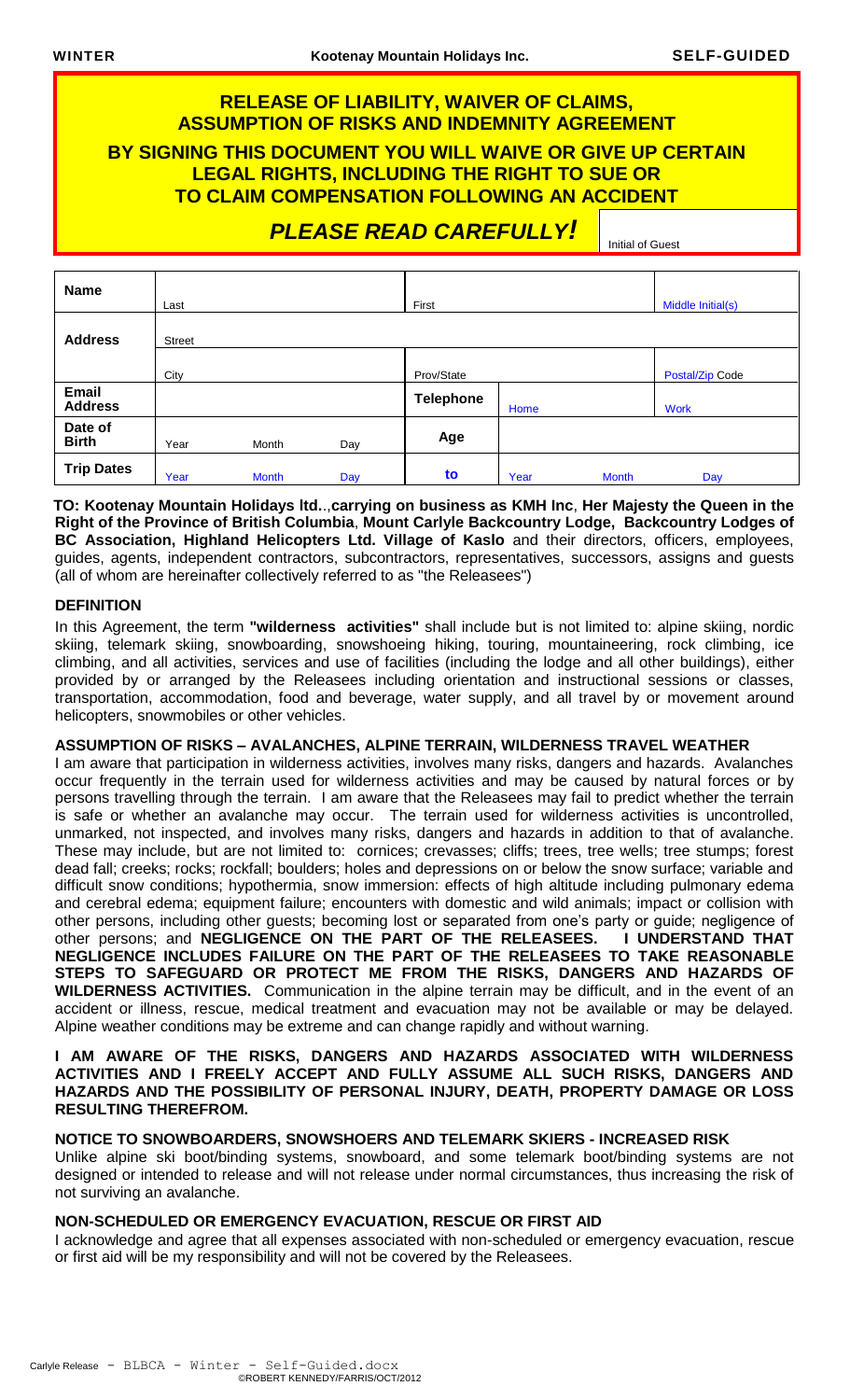# **RELEASE OF LIABILITY, WAIVER OF CLAIMS, ASSUMPTION OF RISKS AND INDEMNITY AGREEMENT BY SIGNING THIS DOCUMENT YOU WILL WAIVE OR GIVE UP CERTAIN LEGAL RIGHTS, INCLUDING THE RIGHT TO SUE OR TO CLAIM COMPENSATION FOLLOWING AN ACCIDENT**

 *PLEASE READ CAREFULLY!*

Initial of Guest

| <b>Name</b>             | Last          |              |     | First            |      |              | Middle Initial(s) |
|-------------------------|---------------|--------------|-----|------------------|------|--------------|-------------------|
| <b>Address</b>          | <b>Street</b> |              |     |                  |      |              |                   |
|                         | City          |              |     | Prov/State       |      |              | Postal/Zip Code   |
| Email<br><b>Address</b> |               |              |     | <b>Telephone</b> | Home |              | <b>Work</b>       |
| Date of<br><b>Birth</b> | Year          | Month        | Day | Age              |      |              |                   |
| <b>Trip Dates</b>       | Year          | <b>Month</b> | Day | to               | Year | <b>Month</b> | Day               |

**TO: Kootenay Mountain Holidays ltd.**.,**carrying on business as KMH Inc**, **Her Majesty the Queen in the Right of the Province of British Columbia**, **Mount Carlyle Backcountry Lodge, Backcountry Lodges of BC Association, Highland Helicopters Ltd. Village of Kaslo** and their directors, officers, employees, guides, agents, independent contractors, subcontractors, representatives, successors, assigns and guests (all of whom are hereinafter collectively referred to as "the Releasees")

# **DEFINITION**

In this Agreement, the term **"wilderness activities"** shall include but is not limited to: alpine skiing, nordic skiing, telemark skiing, snowboarding, snowshoeing hiking, touring, mountaineering, rock climbing, ice climbing, and all activities, services and use of facilities (including the lodge and all other buildings), either provided by or arranged by the Releasees including orientation and instructional sessions or classes, transportation, accommodation, food and beverage, water supply, and all travel by or movement around helicopters, snowmobiles or other vehicles.

### **ASSUMPTION OF RISKS – AVALANCHES, ALPINE TERRAIN, WILDERNESS TRAVEL WEATHER**

I am aware that participation in wilderness activities, involves many risks, dangers and hazards. Avalanches occur frequently in the terrain used for wilderness activities and may be caused by natural forces or by persons travelling through the terrain. I am aware that the Releasees may fail to predict whether the terrain is safe or whether an avalanche may occur. The terrain used for wilderness activities is uncontrolled, unmarked, not inspected, and involves many risks, dangers and hazards in addition to that of avalanche. These may include, but are not limited to: cornices; crevasses; cliffs; trees, tree wells; tree stumps; forest dead fall; creeks; rocks; rockfall; boulders; holes and depressions on or below the snow surface; variable and difficult snow conditions; hypothermia, snow immersion: effects of high altitude including pulmonary edema and cerebral edema; equipment failure; encounters with domestic and wild animals; impact or collision with other persons, including other guests; becoming lost or separated from one's party or guide; negligence of other persons; and **NEGLIGENCE ON THE PART OF THE RELEASEES. I UNDERSTAND THAT NEGLIGENCE INCLUDES FAILURE ON THE PART OF THE RELEASEES TO TAKE REASONABLE STEPS TO SAFEGUARD OR PROTECT ME FROM THE RISKS, DANGERS AND HAZARDS OF WILDERNESS ACTIVITIES.** Communication in the alpine terrain may be difficult, and in the event of an accident or illness, rescue, medical treatment and evacuation may not be available or may be delayed. Alpine weather conditions may be extreme and can change rapidly and without warning.

### **I AM AWARE OF THE RISKS, DANGERS AND HAZARDS ASSOCIATED WITH WILDERNESS ACTIVITIES AND I FREELY ACCEPT AND FULLY ASSUME ALL SUCH RISKS, DANGERS AND HAZARDS AND THE POSSIBILITY OF PERSONAL INJURY, DEATH, PROPERTY DAMAGE OR LOSS RESULTING THEREFROM.**

# **NOTICE TO SNOWBOARDERS, SNOWSHOERS AND TELEMARK SKIERS - INCREASED RISK**

Unlike alpine ski boot/binding systems, snowboard, and some telemark boot/binding systems are not designed or intended to release and will not release under normal circumstances, thus increasing the risk of not surviving an avalanche.

### **NON-SCHEDULED OR EMERGENCY EVACUATION, RESCUE OR FIRST AID**

I acknowledge and agree that all expenses associated with non-scheduled or emergency evacuation, rescue or first aid will be my responsibility and will not be covered by the Releasees.